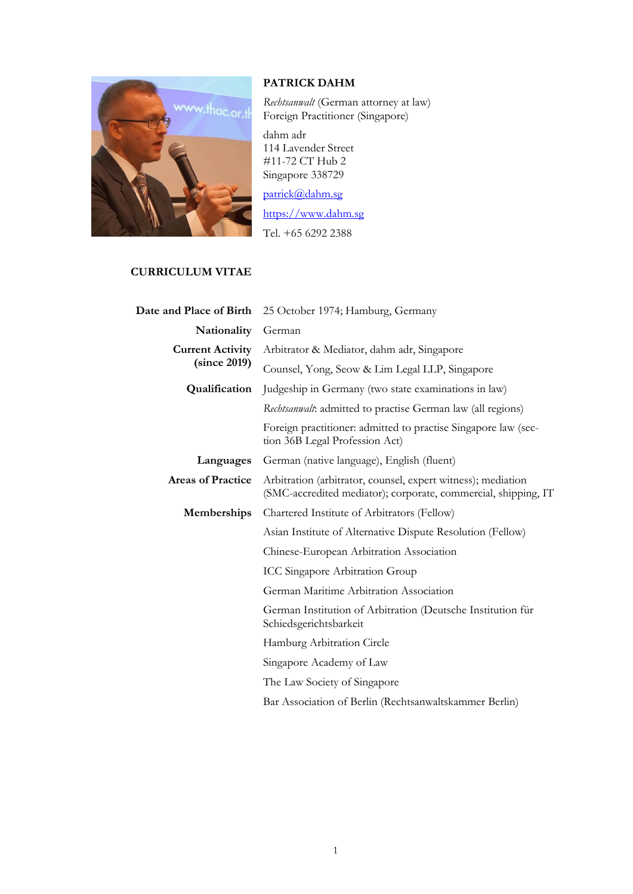

## **PATRICK DAHM**

*Rechtsanwalt* (German attorney at law) Foreign Practitioner (Singapore)

dahm adr 114 Lavender Street #11-72 CT Hub 2 Singapore 338729

[patrick@dahm.sg](mailto:patrick@dahm.sg)

[https://www.dahm.sg](https://www.dahm.sg/) Tel. +65 6292 2388

## **CURRICULUM VITAE**

| Date and Place of Birth                 | 25 October 1974; Hamburg, Germany                                                                                              |
|-----------------------------------------|--------------------------------------------------------------------------------------------------------------------------------|
| Nationality                             | German                                                                                                                         |
| <b>Current Activity</b><br>(since 2019) | Arbitrator & Mediator, dahm adr, Singapore                                                                                     |
|                                         | Counsel, Yong, Seow & Lim Legal LLP, Singapore                                                                                 |
| Qualification                           | Judgeship in Germany (two state examinations in law)                                                                           |
|                                         | Rechtsanwalt: admitted to practise German law (all regions)                                                                    |
|                                         | Foreign practitioner: admitted to practise Singapore law (sec-<br>tion 36B Legal Profession Act)                               |
| Languages                               | German (native language), English (fluent)                                                                                     |
| <b>Areas of Practice</b>                | Arbitration (arbitrator, counsel, expert witness); mediation<br>(SMC-accredited mediator); corporate, commercial, shipping, IT |
| Memberships                             | Chartered Institute of Arbitrators (Fellow)                                                                                    |
|                                         | Asian Institute of Alternative Dispute Resolution (Fellow)                                                                     |
|                                         | Chinese-European Arbitration Association                                                                                       |
|                                         | <b>ICC Singapore Arbitration Group</b>                                                                                         |
|                                         | German Maritime Arbitration Association                                                                                        |
|                                         | German Institution of Arbitration (Deutsche Institution für<br>Schiedsgerichtsbarkeit                                          |
|                                         | Hamburg Arbitration Circle                                                                                                     |
|                                         | Singapore Academy of Law                                                                                                       |
|                                         | The Law Society of Singapore                                                                                                   |
|                                         | Bar Association of Berlin (Rechtsanwaltskammer Berlin)                                                                         |
|                                         |                                                                                                                                |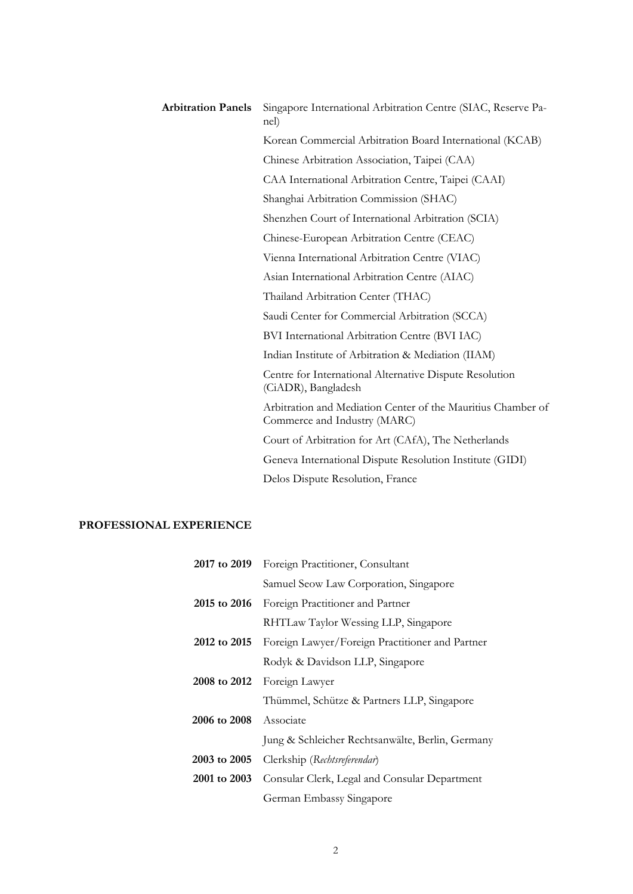| <b>Arbitration Panels</b> | Singapore International Arbitration Centre (SIAC, Reserve Pa-<br>nel)                        |
|---------------------------|----------------------------------------------------------------------------------------------|
|                           | Korean Commercial Arbitration Board International (KCAB)                                     |
|                           | Chinese Arbitration Association, Taipei (CAA)                                                |
|                           | CAA International Arbitration Centre, Taipei (CAAI)                                          |
|                           | Shanghai Arbitration Commission (SHAC)                                                       |
|                           | Shenzhen Court of International Arbitration (SCIA)                                           |
|                           | Chinese-European Arbitration Centre (CEAC)                                                   |
|                           | Vienna International Arbitration Centre (VIAC)                                               |
|                           | Asian International Arbitration Centre (AIAC)                                                |
|                           | Thailand Arbitration Center (THAC)                                                           |
|                           | Saudi Center for Commercial Arbitration (SCCA)                                               |
|                           | BVI International Arbitration Centre (BVI IAC)                                               |
|                           | Indian Institute of Arbitration & Mediation (IIAM)                                           |
|                           | Centre for International Alternative Dispute Resolution<br>(CiADR), Bangladesh               |
|                           | Arbitration and Mediation Center of the Mauritius Chamber of<br>Commerce and Industry (MARC) |
|                           | Court of Arbitration for Art (CAfA), The Netherlands                                         |
|                           | Geneva International Dispute Resolution Institute (GIDI)                                     |
|                           | Delos Dispute Resolution, France                                                             |

## **PROFESSIONAL EXPERIENCE**

| 2017 to 2019 | Foreign Practitioner, Consultant                             |
|--------------|--------------------------------------------------------------|
|              | Samuel Seow Law Corporation, Singapore                       |
| 2015 to 2016 | Foreign Practitioner and Partner                             |
|              | RHTLaw Taylor Wessing LLP, Singapore                         |
|              | 2012 to 2015 Foreign Lawyer/Foreign Practitioner and Partner |
|              | Rodyk & Davidson LLP, Singapore                              |
| 2008 to 2012 | Foreign Lawyer                                               |
|              | Thümmel, Schütze & Partners LLP, Singapore                   |
| 2006 to 2008 | Associate                                                    |
|              | Jung & Schleicher Rechtsanwälte, Berlin, Germany             |
| 2003 to 2005 | Clerkship (Rechtsreferendar)                                 |
| 2001 to 2003 | Consular Clerk, Legal and Consular Department                |
|              | German Embassy Singapore                                     |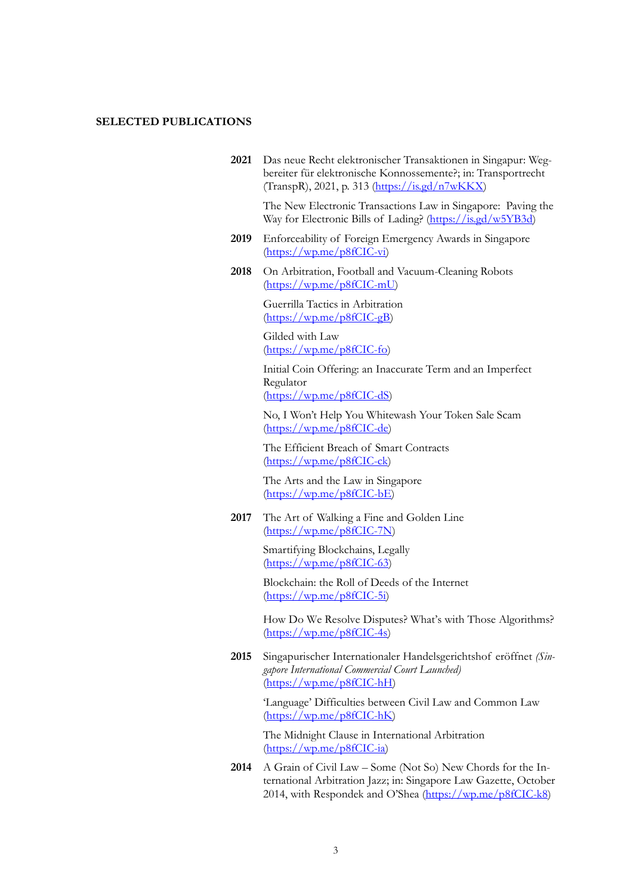## **SELECTED PUBLICATIONS**

**2021** Das neue Recht elektronischer Transaktionen in Singapur: Wegbereiter für elektronische Konnossemente?; in: Transportrecht (TranspR), 2021, p. 313 [\(https://is.gd/n7wKKX\)](https://is.gd/n7wKKX)

> The New Electronic Transactions Law in Singapore: Paving the Way for Electronic Bills of Lading? [\(https://is.gd/w5YB3d\)](https://is.gd/w5YB3d)

- **2019** Enforceability of Foreign Emergency Awards in Singapore [\(https://wp.me/p8fCIC-vi\)](https://wp.me/p8fCIC-vi)
- **2018** On Arbitration, Football and Vacuum-Cleaning Robots [\(https://wp.me/p8fCIC-mU\)](https://wp.me/p8fCIC-mU)

Guerrilla Tactics in Arbitration [\(https://wp.me/p8fCIC-gB\)](https://wp.me/p8fCIC-gB)

Gilded with Law [\(https://wp.me/p8fCIC-fo\)](https://wp.me/p8fCIC-fo)

Initial Coin Offering: an Inaccurate Term and an Imperfect Regulator [\(https://wp.me/p8fCIC-dS\)](https://wp.me/p8fCIC-dS)

No, I Won't Help You Whitewash Your Token Sale Scam [\(https://wp.me/p8fCIC-de\)](https://wp.me/p8fCIC-de)

The Efficient Breach of Smart Contracts [\(https://wp.me/p8fCIC-ck\)](https://wp.me/p8fCIC-ck)

The Arts and the Law in Singapore [\(https://wp.me/p8fCIC-bE\)](https://wp.me/p8fCIC-bE)

**2017** The Art of Walking a Fine and Golden Line [\(https://wp.me/p8fCIC-7N\)](https://wp.me/p8fCIC-7N)

> Smartifying Blockchains, Legally  $(\text{https://wp.me/p8fClC-63})$

Blockchain: the Roll of Deeds of the Internet [\(https://wp.me/p8fCIC-5i\)](https://wp.me/p8fCIC-5i)

How Do We Resolve Disputes? What's with Those Algorithms? [\(https://wp.me/p8fCIC-4s\)](https://wp.me/p8fCIC-4s)

**2015** Singapurischer Internationaler Handelsgerichtshof eröffnet *(Singapore International Commercial Court Launched)* [\(https://wp.me/p8fCIC-hH\)](https://wp.me/p8fCIC-hH)

> 'Language' Difficulties between Civil Law and Common Law [\(https://wp.me/p8fCIC-hK\)](https://wp.me/p8fCIC-hK)

The Midnight Clause in International Arbitration [\(https://wp.me/p8fCIC-ia\)](https://wp.me/p8fCIC-ia)

**2014** A Grain of Civil Law – Some (Not So) New Chords for the International Arbitration Jazz; in: Singapore Law Gazette, October 2014, with Respondek and O'Shea (https://wp.me/p8fCIC-k8)